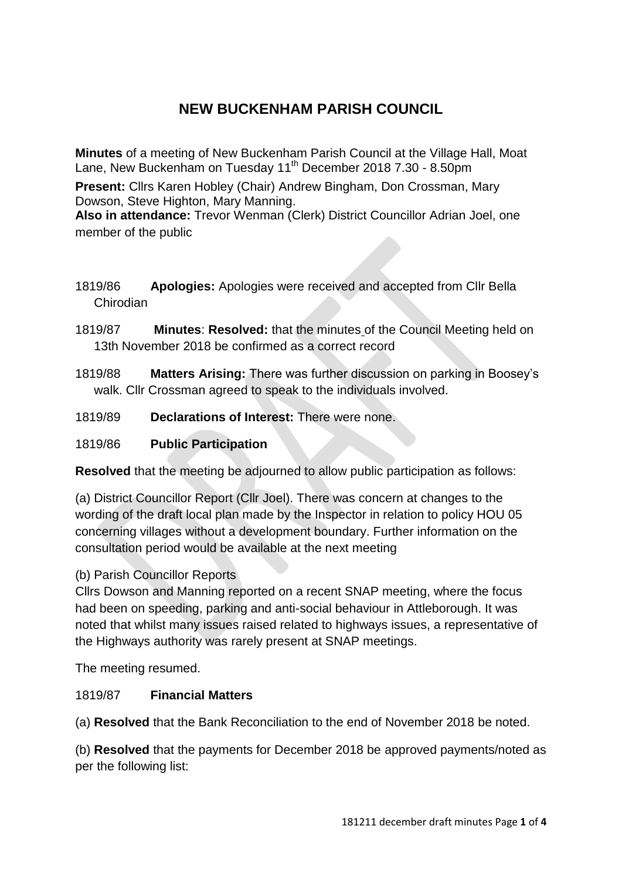# **NEW BUCKENHAM PARISH COUNCIL**

**Minutes** of a meeting of New Buckenham Parish Council at the Village Hall, Moat Lane, New Buckenham on Tuesday 11<sup>th</sup> December 2018 7.30 - 8.50pm

**Present:** Cllrs Karen Hobley (Chair) Andrew Bingham, Don Crossman, Mary Dowson, Steve Highton, Mary Manning.

**Also in attendance:** Trevor Wenman (Clerk) District Councillor Adrian Joel, one member of the public

- 1819/86 **Apologies:** Apologies were received and accepted from Cllr Bella Chirodian
- 1819/87 **Minutes**: **Resolved:** that the minutes of the Council Meeting held on 13th November 2018 be confirmed as a correct record
- 1819/88 **Matters Arising:** There was further discussion on parking in Boosey's walk. Cllr Crossman agreed to speak to the individuals involved.
- 1819/89 **Declarations of Interest:** There were none.

# 1819/86 **Public Participation**

**Resolved** that the meeting be adjourned to allow public participation as follows:

(a) District Councillor Report (Cllr Joel). There was concern at changes to the wording of the draft local plan made by the Inspector in relation to policy HOU 05 concerning villages without a development boundary. Further information on the consultation period would be available at the next meeting

## (b) Parish Councillor Reports

Cllrs Dowson and Manning reported on a recent SNAP meeting, where the focus had been on speeding, parking and anti-social behaviour in Attleborough. It was noted that whilst many issues raised related to highways issues, a representative of the Highways authority was rarely present at SNAP meetings.

The meeting resumed.

# 1819/87 **Financial Matters**

(a) **Resolved** that the Bank Reconciliation to the end of November 2018 be noted.

(b) **Resolved** that the payments for December 2018 be approved payments/noted as per the following list: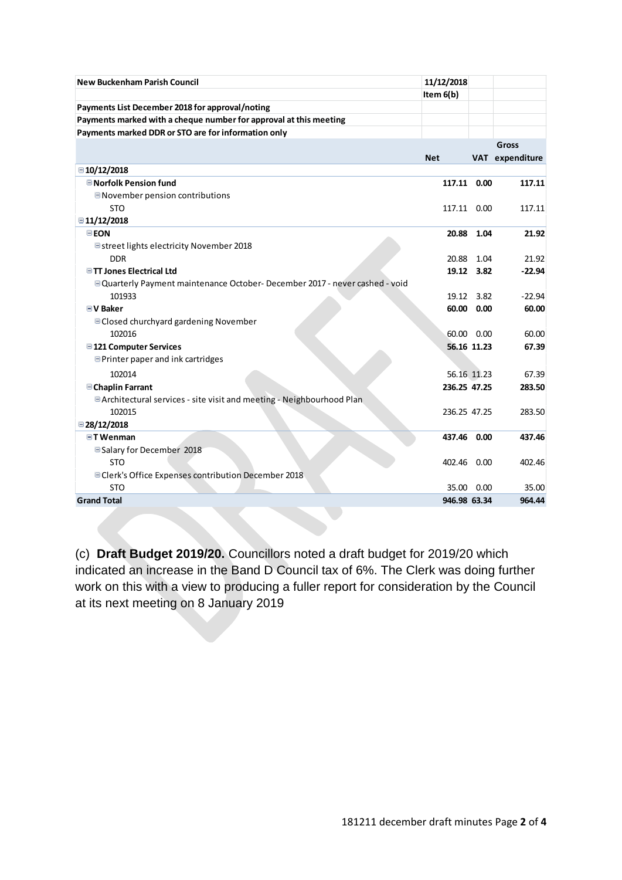| <b>New Buckenham Parish Council</b>                                                 | 11/12/2018   |             |             |
|-------------------------------------------------------------------------------------|--------------|-------------|-------------|
|                                                                                     | Item $6(b)$  |             |             |
| Payments List December 2018 for approval/noting                                     |              |             |             |
| Payments marked with a cheque number for approval at this meeting                   |              |             |             |
| Payments marked DDR or STO are for information only                                 |              |             |             |
|                                                                                     |              |             | Gross       |
|                                                                                     | <b>Net</b>   | <b>VAT</b>  | expenditure |
| ■10/12/2018                                                                         |              |             |             |
| <b>□Norfolk Pension fund</b>                                                        | 117.11 0.00  |             | 117.11      |
| ■November pension contributions                                                     |              |             |             |
| <b>STO</b>                                                                          | 117.11 0.00  |             | 117.11      |
| ■11/12/2018                                                                         |              |             |             |
| EEON                                                                                |              | 20.88 1.04  | 21.92       |
| <b>■street lights electricity November 2018</b>                                     |              |             |             |
| <b>DDR</b>                                                                          |              | 20.88 1.04  | 21.92       |
| <b>□TT Jones Electrical Ltd</b>                                                     |              | 19.12 3.82  | $-22.94$    |
| <b>□ Quarterly Payment maintenance October- December 2017 - never cashed - void</b> |              |             |             |
| 101933                                                                              | 19.12        | 3.82        | $-22.94$    |
| <b>EV Baker</b>                                                                     |              | 60.00 0.00  | 60.00       |
| <b>■Closed churchyard gardening November</b>                                        |              |             |             |
| 102016                                                                              |              | 60.00 0.00  | 60.00       |
| <b>□121 Computer Services</b>                                                       |              | 56.16 11.23 | 67.39       |
| <b>EPrinter paper and ink cartridges</b>                                            |              |             |             |
| 102014                                                                              |              | 56.16 11.23 | 67.39       |
| <b>□ Chaplin Farrant</b>                                                            | 236.25 47.25 |             | 283.50      |
| <b>E</b> Architectural services - site visit and meeting - Neighbourhood Plan       |              |             |             |
| 102015                                                                              | 236.25 47.25 |             | 283.50      |
| $\Xi$ 28/12/2018                                                                    |              |             |             |
| <b>⊟T</b> Wenman                                                                    | 437.46 0.00  |             | 437.46      |
| <b>■Salary for December 2018</b>                                                    |              |             |             |
| <b>STO</b>                                                                          | 402.46 0.00  |             | 402.46      |
| □Clerk's Office Expenses contribution December 2018                                 |              |             |             |
| <b>STO</b>                                                                          |              | 35.00 0.00  | 35.00       |
| <b>Grand Total</b>                                                                  | 946.98 63.34 |             | 964.44      |

(c) **Draft Budget 2019/20.** Councillors noted a draft budget for 2019/20 which indicated an increase in the Band D Council tax of 6%. The Clerk was doing further work on this with a view to producing a fuller report for consideration by the Council at its next meeting on 8 January 2019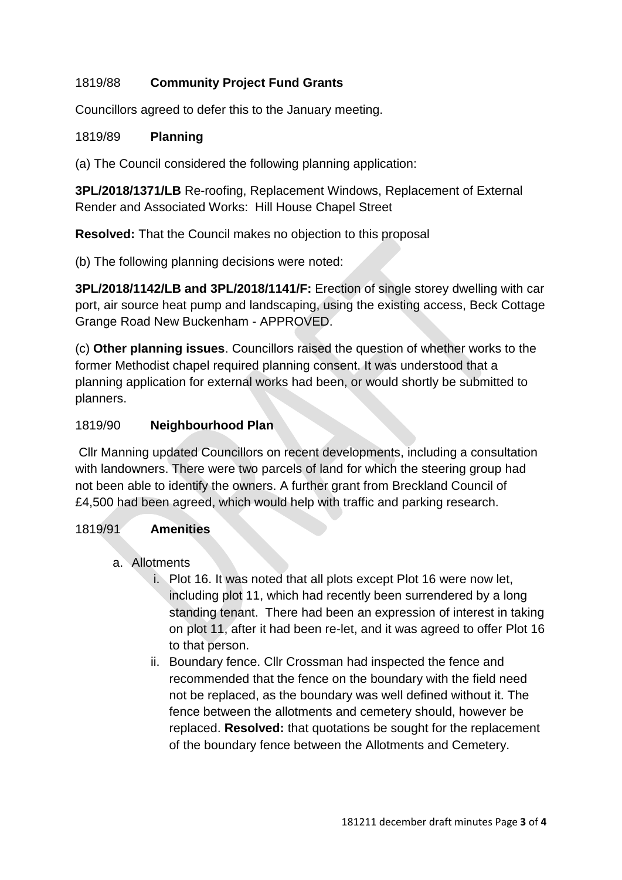# 1819/88 **Community Project Fund Grants**

Councillors agreed to defer this to the January meeting.

#### 1819/89 **Planning**

(a) The Council considered the following planning application:

**3PL/2018/1371/LB** Re-roofing, Replacement Windows, Replacement of External Render and Associated Works: Hill House Chapel Street

**Resolved:** That the Council makes no objection to this proposal

(b) The following planning decisions were noted:

**3PL/2018/1142/LB and 3PL/2018/1141/F:** Erection of single storey dwelling with car port, air source heat pump and landscaping, using the existing access, Beck Cottage Grange Road New Buckenham - APPROVED.

(c) **Other planning issues**. Councillors raised the question of whether works to the former Methodist chapel required planning consent. It was understood that a planning application for external works had been, or would shortly be submitted to planners.

#### 1819/90 **Neighbourhood Plan**

Cllr Manning updated Councillors on recent developments, including a consultation with landowners. There were two parcels of land for which the steering group had not been able to identify the owners. A further grant from Breckland Council of £4,500 had been agreed, which would help with traffic and parking research.

## 1819/91 **Amenities**

- a. Allotments
	- i. Plot 16. It was noted that all plots except Plot 16 were now let, including plot 11, which had recently been surrendered by a long standing tenant. There had been an expression of interest in taking on plot 11, after it had been re-let, and it was agreed to offer Plot 16 to that person.
	- ii. Boundary fence. Cllr Crossman had inspected the fence and recommended that the fence on the boundary with the field need not be replaced, as the boundary was well defined without it. The fence between the allotments and cemetery should, however be replaced. **Resolved:** that quotations be sought for the replacement of the boundary fence between the Allotments and Cemetery.